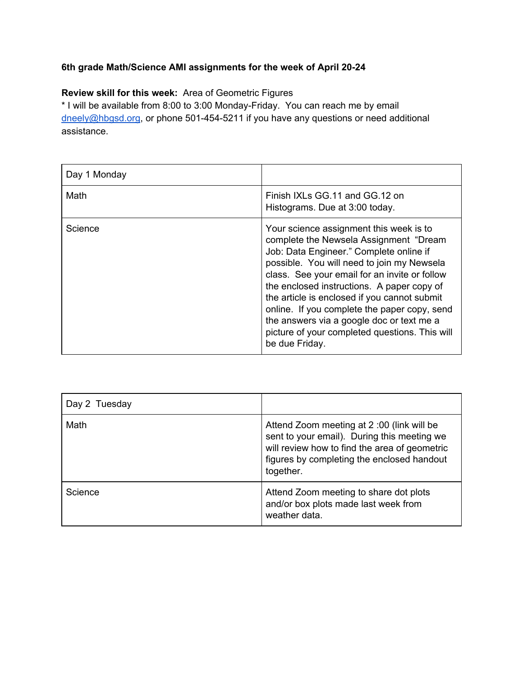## **6th grade Math/Science AMI assignments for the week of April 20-24**

## **Review skill for this week:** Area of Geometric Figures

\* I will be available from 8:00 to 3:00 Monday-Friday. You can reach me by email [dneely@hbgsd.org](mailto:dneely@hbgsd.org), or phone 501-454-5211 if you have any questions or need additional assistance.

| Day 1 Monday |                                                                                                                                                                                                                                                                                                                                                                                                                                                                                            |
|--------------|--------------------------------------------------------------------------------------------------------------------------------------------------------------------------------------------------------------------------------------------------------------------------------------------------------------------------------------------------------------------------------------------------------------------------------------------------------------------------------------------|
| Math         | Finish IXLs GG.11 and GG.12 on<br>Histograms. Due at 3:00 today.                                                                                                                                                                                                                                                                                                                                                                                                                           |
| Science      | Your science assignment this week is to<br>complete the Newsela Assignment "Dream<br>Job: Data Engineer." Complete online if<br>possible. You will need to join my Newsela<br>class. See your email for an invite or follow<br>the enclosed instructions. A paper copy of<br>the article is enclosed if you cannot submit<br>online. If you complete the paper copy, send<br>the answers via a google doc or text me a<br>picture of your completed questions. This will<br>be due Friday. |

| Day 2 Tuesday |                                                                                                                                                                                                      |
|---------------|------------------------------------------------------------------------------------------------------------------------------------------------------------------------------------------------------|
| Math          | Attend Zoom meeting at 2:00 (link will be<br>sent to your email). During this meeting we<br>will review how to find the area of geometric<br>figures by completing the enclosed handout<br>together. |
| Science       | Attend Zoom meeting to share dot plots<br>and/or box plots made last week from<br>weather data.                                                                                                      |